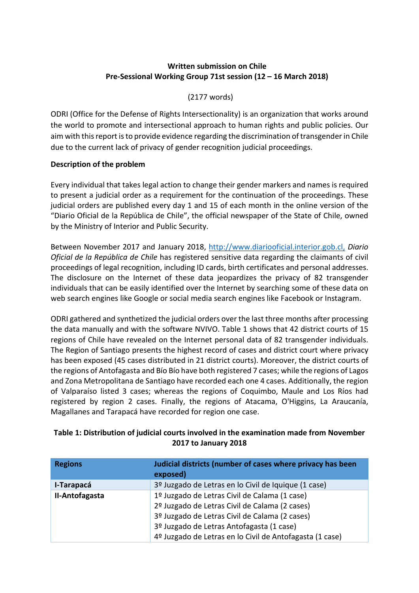### **Written submission on Chile Pre-Sessional Working Group 71st session (12 – 16 March 2018)**

#### (2177 words)

ODRI (Office for the Defense of Rights Intersectionality) is an organization that works around the world to promote and intersectional approach to human rights and public policies. Our aim with this report is to provide evidence regarding the discrimination of transgender in Chile due to the current lack of privacy of gender recognition judicial proceedings.

#### **Description of the problem**

Every individual that takes legal action to change their gender markers and names is required to present a judicial order as a requirement for the continuation of the proceedings. These judicial orders are published every day 1 and 15 of each month in the online version of the "Diario Oficial de la República de Chile", the official newspaper of the State of Chile, owned by the Ministry of Interior and Public Security.

Between November 2017 and January 2018, [http://www.diariooficial.interior.gob.cl,](http://www.diariooficial.interior.gob.cl/) *Diario Oficial de la República de Chile* has registered sensitive data regarding the claimants of civil proceedings of legal recognition, including ID cards, birth certificates and personal addresses. The disclosure on the Internet of these data jeopardizes the privacy of 82 transgender individuals that can be easily identified over the Internet by searching some of these data on web search engines like Google or social media search engines like Facebook or Instagram.

ODRI gathered and synthetized the judicial orders over the last three months after processing the data manually and with the software NVIVO. Table 1 shows that 42 district courts of 15 regions of Chile have revealed on the Internet personal data of 82 transgender individuals. The Region of Santiago presents the highest record of cases and district court where privacy has been exposed (45 cases distributed in 21 district courts). Moreover, the district courts of the regions of Antofagasta and Bío Bío have both registered 7 cases; while the regions of Lagos and Zona Metropolitana de Santiago have recorded each one 4 cases. Additionally, the region of Valparaíso listed 3 cases; whereas the regions of Coquimbo, Maule and Los Ríos had registered by region 2 cases. Finally, the regions of Atacama, O'Higgins, La Araucanía, Magallanes and Tarapacá have recorded for region one case.

## **Table 1: Distribution of judicial courts involved in the examination made from November 2017 to January 2018**

| <b>Regions</b> | Judicial districts (number of cases where privacy has been<br>exposed) |
|----------------|------------------------------------------------------------------------|
| I-Tarapacá     | 3º Juzgado de Letras en lo Civil de Iquique (1 case)                   |
| II-Antofagasta | 1º Juzgado de Letras Civil de Calama (1 case)                          |
|                | 2º Juzgado de Letras Civil de Calama (2 cases)                         |
|                | 3º Juzgado de Letras Civil de Calama (2 cases)                         |
|                | 3º Juzgado de Letras Antofagasta (1 case)                              |
|                | 4º Juzgado de Letras en lo Civil de Antofagasta (1 case)               |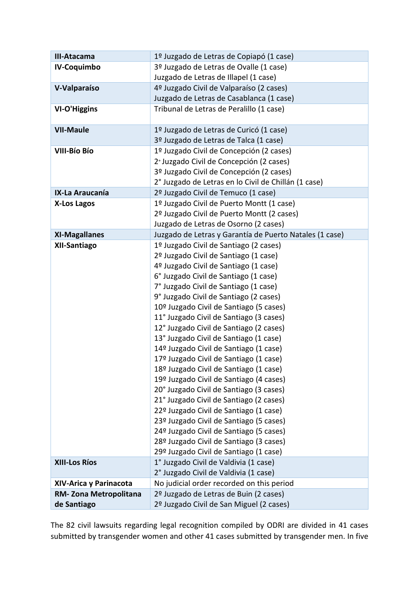| III-Atacama            | 1º Juzgado de Letras de Copiapó (1 case)                |  |  |  |
|------------------------|---------------------------------------------------------|--|--|--|
| <b>IV-Coquimbo</b>     | 3º Juzgado de Letras de Ovalle (1 case)                 |  |  |  |
|                        | Juzgado de Letras de Illapel (1 case)                   |  |  |  |
| V-Valparaíso           | 4º Juzgado Civil de Valparaíso (2 cases)                |  |  |  |
|                        | Juzgado de Letras de Casablanca (1 case)                |  |  |  |
| <b>VI-O'Higgins</b>    | Tribunal de Letras de Peralillo (1 case)                |  |  |  |
| <b>VII-Maule</b>       | 1º Juzgado de Letras de Curicó (1 case)                 |  |  |  |
|                        | 3º Juzgado de Letras de Talca (1 case)                  |  |  |  |
| <b>VIII-Bío Bío</b>    | 1º Juzgado Civil de Concepción (2 cases)                |  |  |  |
|                        | 2 <sup>°</sup> Juzgado Civil de Concepción (2 cases)    |  |  |  |
|                        | 3º Juzgado Civil de Concepción (2 cases)                |  |  |  |
|                        | 2° Juzgado de Letras en lo Civil de Chillán (1 case)    |  |  |  |
| <b>IX-La Araucanía</b> | 2º Juzgado Civil de Temuco (1 case)                     |  |  |  |
| <b>X-Los Lagos</b>     | 1º Juzgado Civil de Puerto Montt (1 case)               |  |  |  |
|                        | 2º Juzgado Civil de Puerto Montt (2 cases)              |  |  |  |
|                        | Juzgado de Letras de Osorno (2 cases)                   |  |  |  |
| <b>XI-Magallanes</b>   | Juzgado de Letras y Garantía de Puerto Natales (1 case) |  |  |  |
| XII-Santiago           | 1º Juzgado Civil de Santiago (2 cases)                  |  |  |  |
|                        | 2º Juzgado Civil de Santiago (1 case)                   |  |  |  |
|                        | 4º Juzgado Civil de Santiago (1 case)                   |  |  |  |
|                        | 6° Juzgado Civil de Santiago (1 case)                   |  |  |  |
|                        | 7° Juzgado Civil de Santiago (1 case)                   |  |  |  |
|                        | 9° Juzgado Civil de Santiago (2 cases)                  |  |  |  |
|                        | 10º Juzgado Civil de Santiago (5 cases)                 |  |  |  |
|                        | 11° Juzgado Civil de Santiago (3 cases)                 |  |  |  |
|                        | 12° Juzgado Civil de Santiago (2 cases)                 |  |  |  |
|                        | 13° Juzgado Civil de Santiago (1 case)                  |  |  |  |
|                        | 14º Juzgado Civil de Santiago (1 case)                  |  |  |  |
|                        | 17º Juzgado Civil de Santiago (1 case)                  |  |  |  |
|                        | 18º Juzgado Civil de Santiago (1 case)                  |  |  |  |
|                        | 19º Juzgado Civil de Santiago (4 cases)                 |  |  |  |
|                        | 20° Juzgado Civil de Santiago (3 cases)                 |  |  |  |
|                        | 21° Juzgado Civil de Santiago (2 cases)                 |  |  |  |
|                        | 22º Juzgado Civil de Santiago (1 case)                  |  |  |  |
|                        | 23º Juzgado Civil de Santiago (5 cases)                 |  |  |  |
|                        | 24º Juzgado Civil de Santiago (5 cases)                 |  |  |  |
|                        | 28º Juzgado Civil de Santiago (3 cases)                 |  |  |  |
|                        | 29º Juzgado Civil de Santiago (1 case)                  |  |  |  |
| <b>XIII-Los Ríos</b>   | 1° Juzgado Civil de Valdivia (1 case)                   |  |  |  |
|                        | 2° Juzgado Civil de Valdivia (1 case)                   |  |  |  |
| XIV-Arica y Parinacota | No judicial order recorded on this period               |  |  |  |
| RM-Zona Metropolitana  | 2º Juzgado de Letras de Buin (2 cases)                  |  |  |  |
| de Santiago            | 2º Juzgado Civil de San Miguel (2 cases)                |  |  |  |

The 82 civil lawsuits regarding legal recognition compiled by ODRI are divided in 41 cases submitted by transgender women and other 41 cases submitted by transgender men. In five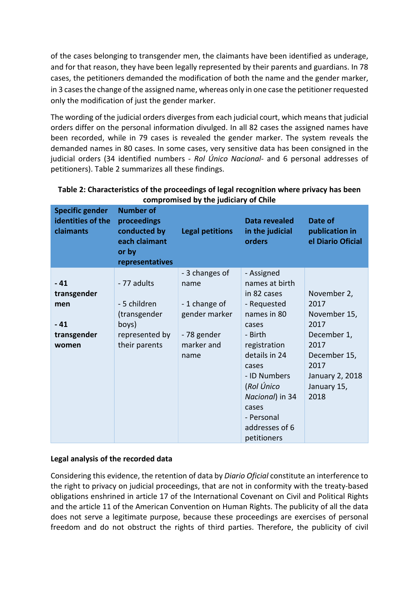of the cases belonging to transgender men, the claimants have been identified as underage, and for that reason, they have been legally represented by their parents and guardians. In 78 cases, the petitioners demanded the modification of both the name and the gender marker, in 3 casesthe change of the assigned name, whereas only in one case the petitioner requested only the modification of just the gender marker.

The wording of the judicial orders diverges from each judicial court, which means that judicial orders differ on the personal information divulged. In all 82 cases the assigned names have been recorded, while in 79 cases is revealed the gender marker. The system reveals the demanded names in 80 cases. In some cases, very sensitive data has been consigned in the judicial orders (34 identified numbers - *Rol Único Nacional*- and 6 personal addresses of petitioners). Table 2 summarizes all these findings.

| <b>Specific gender</b><br>identities of the<br>claimants | <b>Number of</b><br>proceedings<br>conducted by<br>each claimant<br>or by<br>representatives | <b>Legal petitions</b> | Data revealed<br>in the judicial<br>orders | Date of<br>publication in<br>el Diario Oficial |
|----------------------------------------------------------|----------------------------------------------------------------------------------------------|------------------------|--------------------------------------------|------------------------------------------------|
|                                                          |                                                                                              | - 3 changes of         | - Assigned                                 |                                                |
| $-41$                                                    | - 77 adults                                                                                  | name                   | names at birth                             |                                                |
| transgender                                              |                                                                                              |                        | in 82 cases                                | November 2,                                    |
| men                                                      | - 5 children                                                                                 | -1 change of           | - Requested                                | 2017                                           |
|                                                          | (transgender                                                                                 | gender marker          | names in 80                                | November 15,                                   |
| $-41$                                                    | boys)                                                                                        |                        | cases                                      | 2017                                           |
| transgender                                              | represented by                                                                               | - 78 gender            | - Birth                                    | December 1,                                    |
| women                                                    | their parents                                                                                | marker and             | registration                               | 2017                                           |
|                                                          |                                                                                              | name                   | details in 24                              | December 15,                                   |
|                                                          |                                                                                              |                        | cases                                      | 2017                                           |
|                                                          |                                                                                              |                        | - ID Numbers                               | January 2, 2018                                |
|                                                          |                                                                                              |                        | (Rol Único                                 | January 15,                                    |
|                                                          |                                                                                              |                        | Nacional) in 34                            | 2018                                           |
|                                                          |                                                                                              |                        | cases                                      |                                                |
|                                                          |                                                                                              |                        | - Personal                                 |                                                |
|                                                          |                                                                                              |                        | addresses of 6                             |                                                |
|                                                          |                                                                                              |                        | petitioners                                |                                                |

# **Table 2: Characteristics of the proceedings of legal recognition where privacy has been compromised by the judiciary of Chile**

# **Legal analysis of the recorded data**

Considering this evidence, the retention of data by *Diario Oficial* constitute an interference to the right to privacy on judicial proceedings, that are not in conformity with the treaty-based obligations enshrined in article 17 of the International Covenant on Civil and Political Rights and the article 11 of the American Convention on Human Rights. The publicity of all the data does not serve a legitimate purpose, because these proceedings are exercises of personal freedom and do not obstruct the rights of third parties. Therefore, the publicity of civil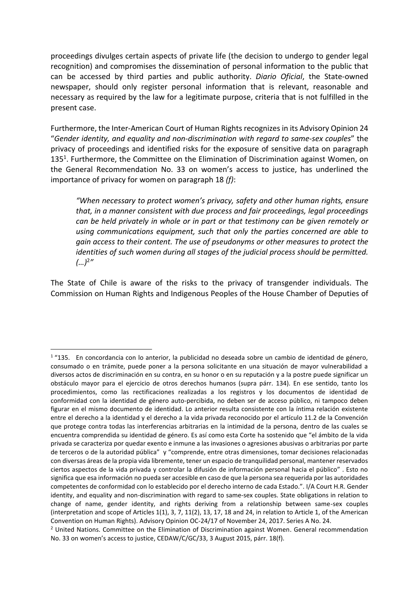proceedings divulges certain aspects of private life (the decision to undergo to gender legal recognition) and compromises the dissemination of personal information to the public that can be accessed by third parties and public authority. *Diario Oficial*, the State-owned newspaper, should only register personal information that is relevant, reasonable and necessary as required by the law for a legitimate purpose, criteria that is not fulfilled in the present case.

Furthermore, the Inter-American Court of Human Rights recognizes in its Advisory Opinion 24 "*Gender identity, and equality and non-discrimination with regard to same-sex couples*" the privacy of proceedings and identified risks for the exposure of sensitive data on paragraph 135<sup>1</sup>. Furthermore, the Committee on the Elimination of Discrimination against Women, on the General Recommendation No. 33 on women's access to justice, has underlined the importance of privacy for women on paragraph 18 *(f)*:

*"When necessary to protect women's privacy, safety and other human rights, ensure that, in a manner consistent with due process and fair proceedings, legal proceedings can be held privately in whole or in part or that testimony can be given remotely or using communications equipment, such that only the parties concerned are able to gain access to their content. The use of pseudonyms or other measures to protect the identities of such women during all stages of the judicial process should be permitted. (…)*<sup>2</sup> *"*

The State of Chile is aware of the risks to the privacy of transgender individuals. The Commission on Human Rights and Indigenous Peoples of the House Chamber of Deputies of

1

<sup>&</sup>lt;sup>1</sup> "135. En concordancia con lo anterior, la publicidad no deseada sobre un cambio de identidad de género, consumado o en trámite, puede poner a la persona solicitante en una situación de mayor vulnerabilidad a diversos actos de discriminación en su contra, en su honor o en su reputación y a la postre puede significar un obstáculo mayor para el ejercicio de otros derechos humanos (supra párr. 134). En ese sentido, tanto los procedimientos, como las rectificaciones realizadas a los registros y los documentos de identidad de conformidad con la identidad de género auto-percibida, no deben ser de acceso público, ni tampoco deben figurar en el mismo documento de identidad. Lo anterior resulta consistente con la íntima relación existente entre el derecho a la identidad y el derecho a la vida privada reconocido por el artículo 11.2 de la Convención que protege contra todas las interferencias arbitrarias en la intimidad de la persona, dentro de las cuales se encuentra comprendida su identidad de género. Es así como esta Corte ha sostenido que "el ámbito de la vida privada se caracteriza por quedar exento e inmune a las invasiones o agresiones abusivas o arbitrarias por parte de terceros o de la autoridad pública" y "comprende, entre otras dimensiones, tomar decisiones relacionadas con diversas áreas de la propia vida libremente, tener un espacio de tranquilidad personal, mantener reservados ciertos aspectos de la vida privada y controlar la difusión de información personal hacia el público" . Esto no significa que esa información no pueda ser accesible en caso de que la persona sea requerida por las autoridades competentes de conformidad con lo establecido por el derecho interno de cada Estado.". I/A Court H.R. Gender identity, and equality and non-discrimination with regard to same-sex couples. State obligations in relation to change of name, gender identity, and rights deriving from a relationship between same-sex couples (interpretation and scope of Articles 1(1), 3, 7, 11(2), 13, 17, 18 and 24, in relation to Article 1, of the American Convention on Human Rights). Advisory Opinion OC-24/17 of November 24, 2017. Series A No. 24.

 $<sup>2</sup>$  United Nations. Committee on the Elimination of Discrimination against Women. General recommendation</sup> No. 33 on women's access to justice, CEDAW/C/GC/33, 3 August 2015, párr. 18(f).